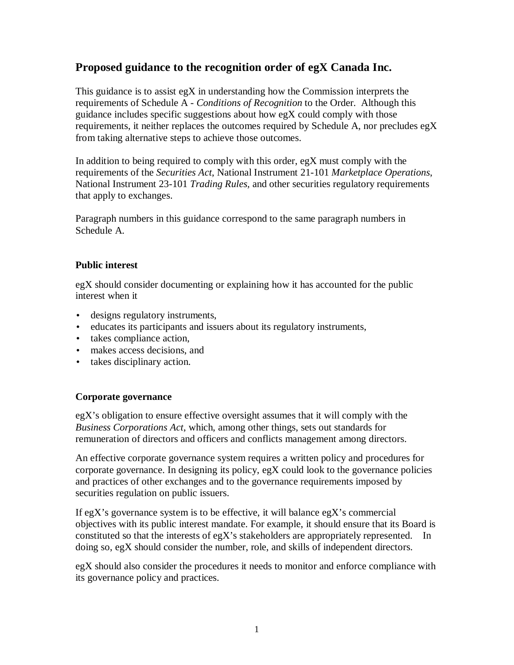# **Proposed guidance to the recognition order of egX Canada Inc.**

This guidance is to assist  $egX$  in understanding how the Commission interprets the requirements of Schedule A - *Conditions of Recognition* to the Order. Although this guidance includes specific suggestions about how egX could comply with those requirements, it neither replaces the outcomes required by Schedule A, nor precludes eg $X$ from taking alternative steps to achieve those outcomes.

In addition to being required to comply with this order, egX must comply with the requirements of the *Securities Act*, National Instrument 21-101 *Marketplace Operations*, National Instrument 23-101 *Trading Rules,* and other securities regulatory requirements that apply to exchanges.

Paragraph numbers in this guidance correspond to the same paragraph numbers in Schedule A.

### **Public interest**

egX should consider documenting or explaining how it has accounted for the public interest when it

- designs regulatory instruments,
- educates its participants and issuers about its regulatory instruments,
- takes compliance action,
- makes access decisions, and
- takes disciplinary action.

### **Corporate governance**

egX's obligation to ensure effective oversight assumes that it will comply with the *Business Corporations Act*, which, among other things, sets out standards for remuneration of directors and officers and conflicts management among directors.

An effective corporate governance system requires a written policy and procedures for corporate governance. In designing its policy, egX could look to the governance policies and practices of other exchanges and to the governance requirements imposed by securities regulation on public issuers.

If egX's governance system is to be effective, it will balance egX's commercial objectives with its public interest mandate. For example, it should ensure that its Board is constituted so that the interests of egX's stakeholders are appropriately represented. In doing so, egX should consider the number, role, and skills of independent directors.

egX should also consider the procedures it needs to monitor and enforce compliance with its governance policy and practices.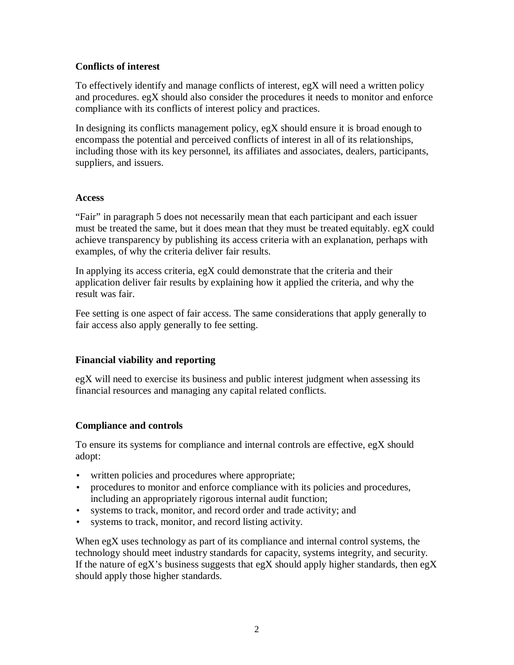### **Conflicts of interest**

To effectively identify and manage conflicts of interest, egX will need a written policy and procedures. egX should also consider the procedures it needs to monitor and enforce compliance with its conflicts of interest policy and practices.

In designing its conflicts management policy, egX should ensure it is broad enough to encompass the potential and perceived conflicts of interest in all of its relationships, including those with its key personnel, its affiliates and associates, dealers, participants, suppliers, and issuers.

### **Access**

"Fair" in paragraph 5 does not necessarily mean that each participant and each issuer must be treated the same, but it does mean that they must be treated equitably. egX could achieve transparency by publishing its access criteria with an explanation, perhaps with examples, of why the criteria deliver fair results.

In applying its access criteria, egX could demonstrate that the criteria and their application deliver fair results by explaining how it applied the criteria, and why the result was fair.

Fee setting is one aspect of fair access. The same considerations that apply generally to fair access also apply generally to fee setting.

### **Financial viability and reporting**

egX will need to exercise its business and public interest judgment when assessing its financial resources and managing any capital related conflicts.

### **Compliance and controls**

To ensure its systems for compliance and internal controls are effective, egX should adopt:

- written policies and procedures where appropriate;
- procedures to monitor and enforce compliance with its policies and procedures, including an appropriately rigorous internal audit function;
- systems to track, monitor, and record order and trade activity; and
- systems to track, monitor, and record listing activity.

When egX uses technology as part of its compliance and internal control systems, the technology should meet industry standards for capacity, systems integrity, and security. If the nature of egX's business suggests that egX should apply higher standards, then egX should apply those higher standards.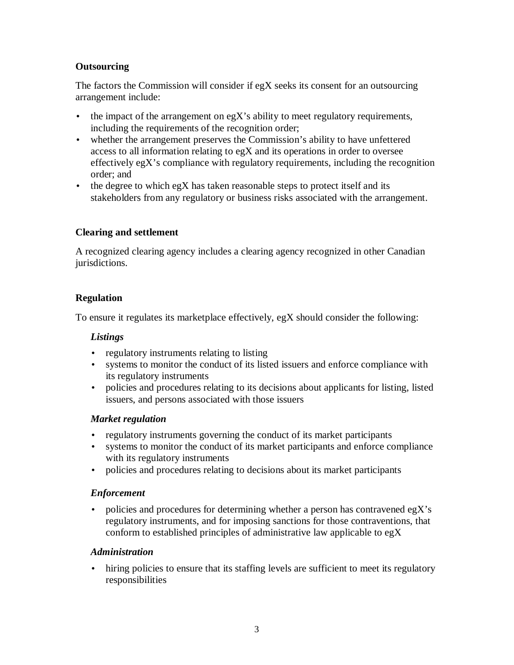## **Outsourcing**

The factors the Commission will consider if egX seeks its consent for an outsourcing arrangement include:

- the impact of the arrangement on  $egX$ 's ability to meet regulatory requirements, including the requirements of the recognition order;
- whether the arrangement preserves the Commission's ability to have unfettered access to all information relating to egX and its operations in order to oversee effectively egX's compliance with regulatory requirements, including the recognition order; and
- the degree to which egX has taken reasonable steps to protect itself and its stakeholders from any regulatory or business risks associated with the arrangement.

### **Clearing and settlement**

A recognized clearing agency includes a clearing agency recognized in other Canadian jurisdictions.

## **Regulation**

To ensure it regulates its marketplace effectively, egX should consider the following:

## *Listings*

- regulatory instruments relating to listing
- systems to monitor the conduct of its listed issuers and enforce compliance with its regulatory instruments
- policies and procedures relating to its decisions about applicants for listing, listed issuers, and persons associated with those issuers

### *Market regulation*

- regulatory instruments governing the conduct of its market participants
- systems to monitor the conduct of its market participants and enforce compliance with its regulatory instruments
- policies and procedures relating to decisions about its market participants

### *Enforcement*

• policies and procedures for determining whether a person has contravened egX's regulatory instruments, and for imposing sanctions for those contraventions, that conform to established principles of administrative law applicable to egX

### *Administration*

• hiring policies to ensure that its staffing levels are sufficient to meet its regulatory responsibilities